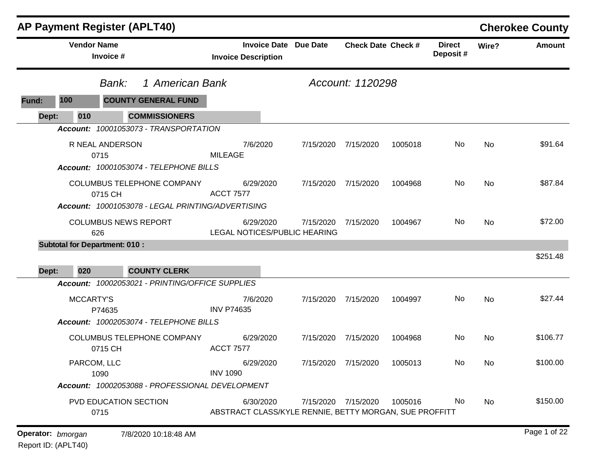|                   |                    | <b>AP Payment Register (APLT40)</b>                                             |                                                                     |           |                             |         |                           |       | <b>Cherokee County</b> |
|-------------------|--------------------|---------------------------------------------------------------------------------|---------------------------------------------------------------------|-----------|-----------------------------|---------|---------------------------|-------|------------------------|
|                   | <b>Vendor Name</b> | Invoice #                                                                       | <b>Invoice Date Due Date</b><br><b>Invoice Description</b>          |           | <b>Check Date Check #</b>   |         | <b>Direct</b><br>Deposit# | Wire? | <b>Amount</b>          |
|                   |                    | 1 American Bank<br>Bank:                                                        |                                                                     |           | Account: 1120298            |         |                           |       |                        |
| Fund:             | 100                | <b>COUNTY GENERAL FUND</b>                                                      |                                                                     |           |                             |         |                           |       |                        |
| Dept:             | 010                | <b>COMMISSIONERS</b>                                                            |                                                                     |           |                             |         |                           |       |                        |
|                   |                    | Account: 10001053073 - TRANSPORTATION                                           |                                                                     |           |                             |         |                           |       |                        |
|                   |                    | R NEAL ANDERSON<br>0715                                                         | 7/6/2020<br><b>MILEAGE</b>                                          | 7/15/2020 | 7/15/2020                   | 1005018 | No                        | No    | \$91.64                |
|                   |                    | Account: 10001053074 - TELEPHONE BILLS<br>COLUMBUS TELEPHONE COMPANY<br>0715 CH | 6/29/2020<br><b>ACCT 7577</b>                                       | 7/15/2020 | 7/15/2020                   | 1004968 | No                        | No    | \$87.84                |
|                   |                    | Account: 10001053078 - LEGAL PRINTING/ADVERTISING                               |                                                                     |           |                             |         |                           |       |                        |
|                   |                    | <b>COLUMBUS NEWS REPORT</b><br>626                                              | 6/29/2020<br>LEGAL NOTICES/PUBLIC HEARING                           | 7/15/2020 | 7/15/2020                   | 1004967 | No                        | No    | \$72.00                |
|                   |                    | <b>Subtotal for Department: 010:</b>                                            |                                                                     |           |                             |         |                           |       |                        |
|                   |                    |                                                                                 |                                                                     |           |                             |         |                           |       | \$251.48               |
| Dept:             | 020                | <b>COUNTY CLERK</b><br>Account: 10002053021 - PRINTING/OFFICE SUPPLIES          |                                                                     |           |                             |         |                           |       |                        |
|                   | <b>MCCARTY'S</b>   | P74635<br>Account: 10002053074 - TELEPHONE BILLS                                | 7/6/2020<br><b>INV P74635</b>                                       | 7/15/2020 | 7/15/2020                   | 1004997 | No                        | No    | \$27.44                |
|                   |                    | COLUMBUS TELEPHONE COMPANY<br>0715 CH                                           | 6/29/2020<br><b>ACCT 7577</b>                                       | 7/15/2020 | 7/15/2020                   | 1004968 | No                        | No    | \$106.77               |
|                   | PARCOM, LLC        | 1090                                                                            | 6/29/2020<br><b>INV 1090</b>                                        |           | 7/15/2020 7/15/2020         | 1005013 | No.                       | No.   | \$100.00               |
|                   |                    | Account: 10002053088 - PROFESSIONAL DEVELOPMENT                                 |                                                                     |           |                             |         |                           |       |                        |
|                   |                    | PVD EDUCATION SECTION<br>0715                                                   | 6/30/2020<br>ABSTRACT CLASS/KYLE RENNIE, BETTY MORGAN, SUE PROFFITT |           | 7/15/2020 7/15/2020 1005016 |         | No.                       | No    | \$150.00               |
| Operator: bmorgan |                    | 7/8/2020 10:18:48 AM                                                            |                                                                     |           |                             |         |                           |       | Page 1 of 22           |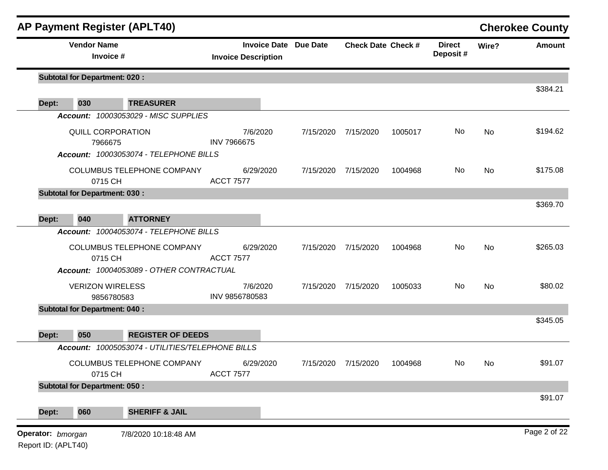|       |                                       | <b>AP Payment Register (APLT40)</b>                                    |                               |                              |                           |         |                           |       | <b>Cherokee County</b> |
|-------|---------------------------------------|------------------------------------------------------------------------|-------------------------------|------------------------------|---------------------------|---------|---------------------------|-------|------------------------|
|       | <b>Vendor Name</b><br>Invoice #       |                                                                        | <b>Invoice Description</b>    | <b>Invoice Date Due Date</b> | <b>Check Date Check #</b> |         | <b>Direct</b><br>Deposit# | Wire? | Amount                 |
|       | <b>Subtotal for Department: 020:</b>  |                                                                        |                               |                              |                           |         |                           |       |                        |
| Dept: | 030                                   | <b>TREASURER</b>                                                       |                               |                              |                           |         |                           |       | \$384.21               |
|       |                                       | Account: 10003053029 - MISC SUPPLIES                                   |                               |                              |                           |         |                           |       |                        |
|       | <b>QUILL CORPORATION</b><br>7966675   |                                                                        | 7/6/2020<br>INV 7966675       | 7/15/2020                    | 7/15/2020                 | 1005017 | No                        | No    | \$194.62               |
|       |                                       | Account: 10003053074 - TELEPHONE BILLS                                 |                               |                              |                           |         |                           |       |                        |
|       | 0715 CH                               | <b>COLUMBUS TELEPHONE COMPANY</b>                                      | 6/29/2020<br><b>ACCT 7577</b> | 7/15/2020                    | 7/15/2020                 | 1004968 | No                        | No    | \$175.08               |
|       | <b>Subtotal for Department: 030:</b>  |                                                                        |                               |                              |                           |         |                           |       |                        |
| Dept: | 040                                   | <b>ATTORNEY</b>                                                        |                               |                              |                           |         |                           |       | \$369.70               |
|       |                                       | Account: 10004053074 - TELEPHONE BILLS                                 |                               |                              |                           |         |                           |       |                        |
|       | 0715 CH                               | COLUMBUS TELEPHONE COMPANY<br>Account: 10004053089 - OTHER CONTRACTUAL | 6/29/2020<br><b>ACCT 7577</b> |                              | 7/15/2020 7/15/2020       | 1004968 | No                        | No    | \$265.03               |
|       | <b>VERIZON WIRELESS</b><br>9856780583 |                                                                        | 7/6/2020<br>INV 9856780583    |                              | 7/15/2020 7/15/2020       | 1005033 | No                        | No    | \$80.02                |
|       | <b>Subtotal for Department: 040:</b>  |                                                                        |                               |                              |                           |         |                           |       |                        |
| Dept: | 050                                   | <b>REGISTER OF DEEDS</b>                                               |                               |                              |                           |         |                           |       | \$345.05               |
|       |                                       | Account: 10005053074 - UTILITIES/TELEPHONE BILLS                       |                               |                              |                           |         |                           |       |                        |
|       | 0715 CH                               | COLUMBUS TELEPHONE COMPANY                                             | 6/29/2020<br><b>ACCT 7577</b> |                              | 7/15/2020 7/15/2020       | 1004968 | No                        | No    | \$91.07                |
|       |                                       |                                                                        |                               |                              |                           |         |                           |       |                        |
|       | <b>Subtotal for Department: 050:</b>  |                                                                        |                               |                              |                           |         |                           |       |                        |
|       |                                       |                                                                        |                               |                              |                           |         |                           |       | \$91.07                |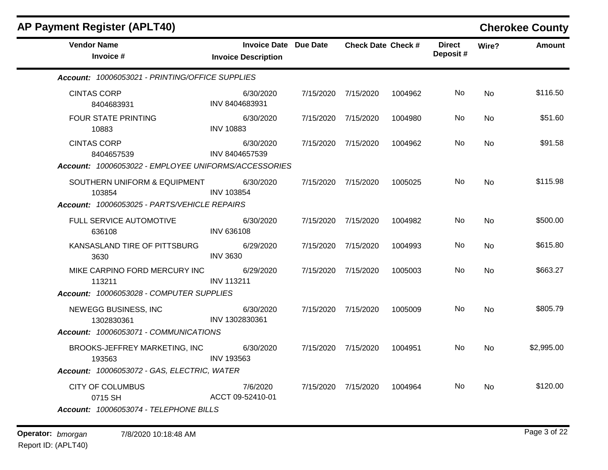| <b>Vendor Name</b><br>Invoice #                      | <b>Invoice Date Due Date</b><br><b>Invoice Description</b> | <b>Check Date Check #</b>   |         | <b>Direct</b><br>Deposit# | Wire?     | <b>Amount</b> |
|------------------------------------------------------|------------------------------------------------------------|-----------------------------|---------|---------------------------|-----------|---------------|
| Account: 10006053021 - PRINTING/OFFICE SUPPLIES      |                                                            |                             |         |                           |           |               |
| <b>CINTAS CORP</b><br>8404683931                     | 6/30/2020<br>INV 8404683931                                | 7/15/2020 7/15/2020         | 1004962 | No                        | No        | \$116.50      |
| <b>FOUR STATE PRINTING</b><br>10883                  | 6/30/2020<br><b>INV 10883</b>                              | 7/15/2020 7/15/2020         | 1004980 | No.                       | No        | \$51.60       |
| <b>CINTAS CORP</b><br>8404657539                     | 6/30/2020<br>INV 8404657539                                | 7/15/2020 7/15/2020         | 1004962 | No.                       | No.       | \$91.58       |
| Account: 10006053022 - EMPLOYEE UNIFORMS/ACCESSORIES |                                                            |                             |         |                           |           |               |
| SOUTHERN UNIFORM & EQUIPMENT 6/30/2020<br>103854     | <b>INV 103854</b>                                          | 7/15/2020 7/15/2020         | 1005025 | No.                       | <b>No</b> | \$115.98      |
| Account: 10006053025 - PARTS/VEHICLE REPAIRS         |                                                            |                             |         |                           |           |               |
| FULL SERVICE AUTOMOTIVE<br>636108                    | 6/30/2020<br><b>INV 636108</b>                             | 7/15/2020 7/15/2020         | 1004982 | No.                       | <b>No</b> | \$500.00      |
| KANSASLAND TIRE OF PITTSBURG<br>3630                 | 6/29/2020<br><b>INV 3630</b>                               | 7/15/2020 7/15/2020         | 1004993 | No.                       | <b>No</b> | \$615.80      |
| MIKE CARPINO FORD MERCURY INC<br>113211              | 6/29/2020<br><b>INV 113211</b>                             | 7/15/2020 7/15/2020         | 1005003 | No                        | No        | \$663.27      |
| Account: 10006053028 - COMPUTER SUPPLIES             |                                                            |                             |         |                           |           |               |
| NEWEGG BUSINESS, INC<br>1302830361                   | 6/30/2020<br>INV 1302830361                                | 7/15/2020 7/15/2020         | 1005009 | No.                       | No        | \$805.79      |
| Account: 10006053071 - COMMUNICATIONS                |                                                            |                             |         |                           |           |               |
| BROOKS-JEFFREY MARKETING, INC<br>193563              | 6/30/2020<br><b>INV 193563</b>                             | 7/15/2020 7/15/2020         | 1004951 | No.                       | No        | \$2,995.00    |
| Account: 10006053072 - GAS, ELECTRIC, WATER          |                                                            |                             |         |                           |           |               |
| <b>CITY OF COLUMBUS</b><br>0715 SH                   | 7/6/2020<br>ACCT 09-52410-01                               | 7/15/2020 7/15/2020 1004964 |         | No.                       | No        | \$120.00      |
| Account: 10006053074 - TELEPHONE BILLS               |                                                            |                             |         |                           |           |               |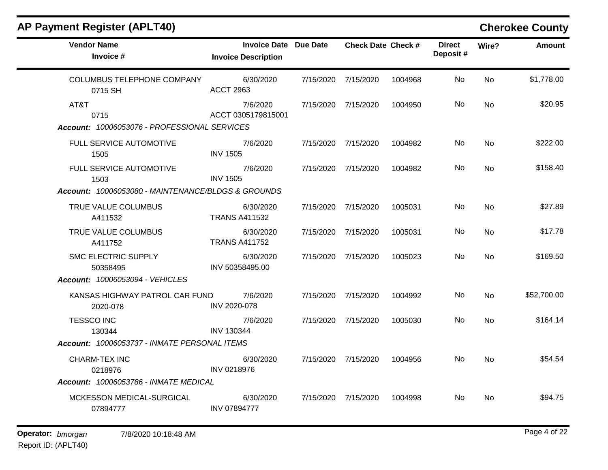| <b>AP Payment Register (APLT40)</b>                |                                                     |           |                     |         |                           |           | <b>Cherokee County</b> |
|----------------------------------------------------|-----------------------------------------------------|-----------|---------------------|---------|---------------------------|-----------|------------------------|
| <b>Vendor Name</b><br>Invoice #                    | Invoice Date Due Date<br><b>Invoice Description</b> |           | Check Date Check #  |         | <b>Direct</b><br>Deposit# | Wire?     | <b>Amount</b>          |
| COLUMBUS TELEPHONE COMPANY<br>0715 SH              | 6/30/2020<br><b>ACCT 2963</b>                       | 7/15/2020 | 7/15/2020           | 1004968 | No                        | <b>No</b> | \$1,778.00             |
| AT&T<br>0715                                       | 7/6/2020<br>ACCT 0305179815001                      |           | 7/15/2020 7/15/2020 | 1004950 | No.                       | <b>No</b> | \$20.95                |
| Account: 10006053076 - PROFESSIONAL SERVICES       |                                                     |           |                     |         |                           |           |                        |
| <b>FULL SERVICE AUTOMOTIVE</b><br>1505             | 7/6/2020<br><b>INV 1505</b>                         | 7/15/2020 | 7/15/2020           | 1004982 | No                        | <b>No</b> | \$222.00               |
| FULL SERVICE AUTOMOTIVE<br>1503                    | 7/6/2020<br><b>INV 1505</b>                         |           | 7/15/2020 7/15/2020 | 1004982 | No                        | No        | \$158.40               |
| Account: 10006053080 - MAINTENANCE/BLDGS & GROUNDS |                                                     |           |                     |         |                           |           |                        |
| TRUE VALUE COLUMBUS<br>A411532                     | 6/30/2020<br><b>TRANS A411532</b>                   | 7/15/2020 | 7/15/2020           | 1005031 | No                        | <b>No</b> | \$27.89                |
| TRUE VALUE COLUMBUS<br>A411752                     | 6/30/2020<br><b>TRANS A411752</b>                   |           | 7/15/2020 7/15/2020 | 1005031 | No.                       | No        | \$17.78                |
| <b>SMC ELECTRIC SUPPLY</b><br>50358495             | 6/30/2020<br>INV 50358495.00                        | 7/15/2020 | 7/15/2020           | 1005023 | No                        | <b>No</b> | \$169.50               |
| Account: 10006053094 - VEHICLES                    |                                                     |           |                     |         |                           |           |                        |
| KANSAS HIGHWAY PATROL CAR FUND<br>2020-078         | 7/6/2020<br>INV 2020-078                            | 7/15/2020 | 7/15/2020           | 1004992 | No.                       | <b>No</b> | \$52,700.00            |
| <b>TESSCO INC</b><br>130344                        | 7/6/2020<br><b>INV 130344</b>                       | 7/15/2020 | 7/15/2020           | 1005030 | No.                       | <b>No</b> | \$164.14               |
| Account: 10006053737 - INMATE PERSONAL ITEMS       |                                                     |           |                     |         |                           |           |                        |
| <b>CHARM-TEX INC</b><br>0218976                    | 6/30/2020<br><b>INV 0218976</b>                     |           | 7/15/2020 7/15/2020 | 1004956 | No.                       | <b>No</b> | \$54.54                |
| <b>Account: 10006053786 - INMATE MEDICAL</b>       |                                                     |           |                     |         |                           |           |                        |
| MCKESSON MEDICAL-SURGICAL<br>07894777              | 6/30/2020<br>INV 07894777                           | 7/15/2020 | 7/15/2020           | 1004998 | No                        | <b>No</b> | \$94.75                |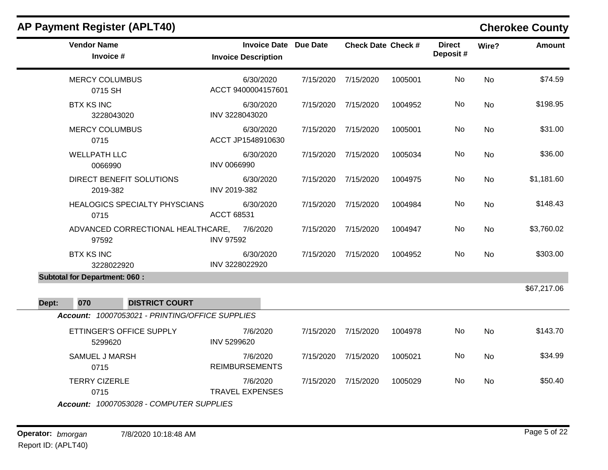|       | $\ldots$ , $\ldots$ , $\ldots$ , $\ldots$ , $\ldots$ . |                                                            |           |                           |         |                           |           | UNUNGU UUMNY  |
|-------|--------------------------------------------------------|------------------------------------------------------------|-----------|---------------------------|---------|---------------------------|-----------|---------------|
|       | <b>Vendor Name</b><br>Invoice #                        | <b>Invoice Date Due Date</b><br><b>Invoice Description</b> |           | <b>Check Date Check #</b> |         | <b>Direct</b><br>Deposit# | Wire?     | <b>Amount</b> |
|       | <b>MERCY COLUMBUS</b><br>0715 SH                       | 6/30/2020<br>ACCT 9400004157601                            | 7/15/2020 | 7/15/2020                 | 1005001 | No                        | <b>No</b> | \$74.59       |
|       | <b>BTX KS INC</b><br>3228043020                        | 6/30/2020<br>INV 3228043020                                | 7/15/2020 | 7/15/2020                 | 1004952 | No                        | No        | \$198.95      |
|       | <b>MERCY COLUMBUS</b><br>0715                          | 6/30/2020<br>ACCT JP1548910630                             | 7/15/2020 | 7/15/2020                 | 1005001 | No                        | <b>No</b> | \$31.00       |
|       | <b>WELLPATH LLC</b><br>0066990                         | 6/30/2020<br><b>INV 0066990</b>                            | 7/15/2020 | 7/15/2020                 | 1005034 | No                        | No        | \$36.00       |
|       | DIRECT BENEFIT SOLUTIONS<br>2019-382                   | 6/30/2020<br>INV 2019-382                                  | 7/15/2020 | 7/15/2020                 | 1004975 | No                        | No        | \$1,181.60    |
|       | <b>HEALOGICS SPECIALTY PHYSCIANS</b><br>0715           | 6/30/2020<br><b>ACCT 68531</b>                             | 7/15/2020 | 7/15/2020                 | 1004984 | No                        | <b>No</b> | \$148.43      |
|       | ADVANCED CORRECTIONAL HEALTHCARE,<br>97592             | 7/6/2020<br><b>INV 97592</b>                               | 7/15/2020 | 7/15/2020                 | 1004947 | No                        | No        | \$3,760.02    |
|       | <b>BTX KS INC</b><br>3228022920                        | 6/30/2020<br>INV 3228022920                                | 7/15/2020 | 7/15/2020                 | 1004952 | No                        | <b>No</b> | \$303.00      |
|       | <b>Subtotal for Department: 060:</b>                   |                                                            |           |                           |         |                           |           |               |
| Dept: | 070<br><b>DISTRICT COURT</b>                           |                                                            |           |                           |         |                           |           | \$67,217.06   |
|       | Account: 10007053021 - PRINTING/OFFICE SUPPLIES        |                                                            |           |                           |         |                           |           |               |
|       | ETTINGER'S OFFICE SUPPLY<br>5299620                    | 7/6/2020<br>INV 5299620                                    | 7/15/2020 | 7/15/2020                 | 1004978 | No                        | No        | \$143.70      |
|       | <b>SAMUEL J MARSH</b>                                  | 7/6/2020                                                   | 7/15/2020 | 7/15/2020                 | 1005021 | No                        | No        | \$34.99       |

REIMBURSEMENTS

TRAVEL EXPENSES

## **AP Payment Register (APLT40) Cherokee County**

7/6/2020 7/15/2020 7/15/2020 1005029 No \$50.40

No

0715

TERRY CIZERLE 0715

*Account: 10007053028 - COMPUTER SUPPLIES*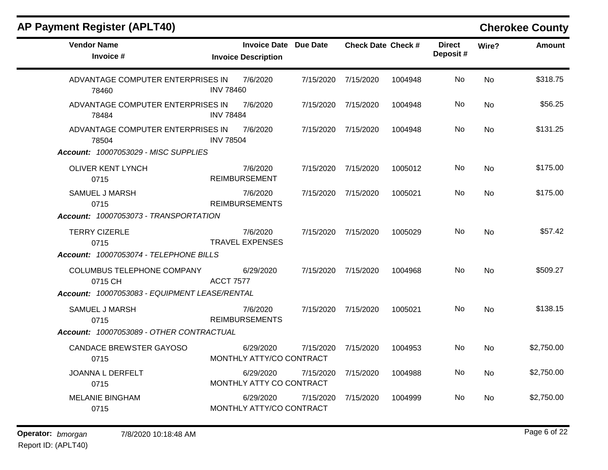m.

| <b>Vendor Name</b><br>Invoice #                                                    | <b>Invoice Date Due Date</b><br><b>Invoice Description</b> |           | <b>Check Date Check #</b> |         | <b>Direct</b><br>Deposit# | Wire?     | <b>Amount</b> |
|------------------------------------------------------------------------------------|------------------------------------------------------------|-----------|---------------------------|---------|---------------------------|-----------|---------------|
| ADVANTAGE COMPUTER ENTERPRISES IN<br>78460                                         | 7/6/2020<br><b>INV 78460</b>                               | 7/15/2020 | 7/15/2020                 | 1004948 | No                        | No        | \$318.75      |
| ADVANTAGE COMPUTER ENTERPRISES IN<br>78484                                         | 7/6/2020<br><b>INV 78484</b>                               | 7/15/2020 | 7/15/2020                 | 1004948 | No                        | No        | \$56.25       |
| ADVANTAGE COMPUTER ENTERPRISES IN<br>78504<br>Account: 10007053029 - MISC SUPPLIES | 7/6/2020<br><b>INV 78504</b>                               | 7/15/2020 | 7/15/2020                 | 1004948 | No.                       | No        | \$131.25      |
| <b>OLIVER KENT LYNCH</b><br>0715                                                   | 7/6/2020<br><b>REIMBURSEMENT</b>                           | 7/15/2020 | 7/15/2020                 | 1005012 | No.                       | No        | \$175.00      |
| <b>SAMUEL J MARSH</b><br>0715                                                      | 7/6/2020<br><b>REIMBURSEMENTS</b>                          | 7/15/2020 | 7/15/2020                 | 1005021 | No                        | No        | \$175.00      |
| Account: 10007053073 - TRANSPORTATION                                              |                                                            |           |                           |         |                           |           |               |
| <b>TERRY CIZERLE</b><br>0715                                                       | 7/6/2020<br><b>TRAVEL EXPENSES</b>                         | 7/15/2020 | 7/15/2020                 | 1005029 | No                        | No        | \$57.42       |
| Account: 10007053074 - TELEPHONE BILLS                                             |                                                            |           |                           |         |                           |           |               |
| <b>COLUMBUS TELEPHONE COMPANY</b><br>0715 CH                                       | 6/29/2020<br><b>ACCT 7577</b>                              | 7/15/2020 | 7/15/2020                 | 1004968 | No.                       | <b>No</b> | \$509.27      |
| Account: 10007053083 - EQUIPMENT LEASE/RENTAL                                      |                                                            |           |                           |         |                           |           |               |
| SAMUEL J MARSH<br>0715                                                             | 7/6/2020<br><b>REIMBURSEMENTS</b>                          | 7/15/2020 | 7/15/2020                 | 1005021 | No.                       | <b>No</b> | \$138.15      |
| Account: 10007053089 - OTHER CONTRACTUAL                                           |                                                            |           |                           |         |                           |           |               |
| <b>CANDACE BREWSTER GAYOSO</b><br>0715                                             | 6/29/2020<br>MONTHLY ATTY/CO CONTRACT                      | 7/15/2020 | 7/15/2020                 | 1004953 | No                        | No        | \$2,750.00    |
| JOANNA L DERFELT<br>0715                                                           | 6/29/2020<br>MONTHLY ATTY CO CONTRACT                      | 7/15/2020 | 7/15/2020                 | 1004988 | No                        | No        | \$2,750.00    |
| <b>MELANIE BINGHAM</b><br>0715                                                     | 6/29/2020<br>MONTHLY ATTY/CO CONTRACT                      | 7/15/2020 | 7/15/2020                 | 1004999 | No.                       | <b>No</b> | \$2,750.00    |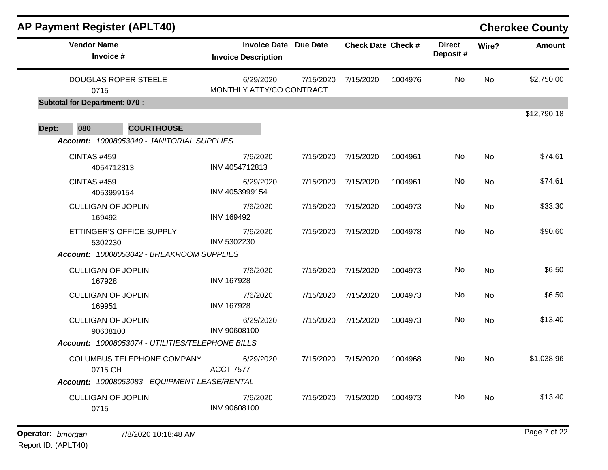|       |                                       | <b>AP Payment Register (APLT40)</b>              |                               |                                       |                           |         |                           |           | <b>Cherokee County</b> |
|-------|---------------------------------------|--------------------------------------------------|-------------------------------|---------------------------------------|---------------------------|---------|---------------------------|-----------|------------------------|
|       | <b>Vendor Name</b><br>Invoice #       |                                                  | <b>Invoice Description</b>    | <b>Invoice Date Due Date</b>          | <b>Check Date Check #</b> |         | <b>Direct</b><br>Deposit# | Wire?     | <b>Amount</b>          |
|       | 0715                                  | <b>DOUGLAS ROPER STEELE</b>                      | 6/29/2020                     | 7/15/2020<br>MONTHLY ATTY/CO CONTRACT | 7/15/2020                 | 1004976 | No                        | <b>No</b> | \$2,750.00             |
|       | <b>Subtotal for Department: 070:</b>  |                                                  |                               |                                       |                           |         |                           |           |                        |
|       |                                       |                                                  |                               |                                       |                           |         |                           |           | \$12,790.18            |
| Dept: | 080                                   | <b>COURTHOUSE</b>                                |                               |                                       |                           |         |                           |           |                        |
|       |                                       | Account: 10008053040 - JANITORIAL SUPPLIES       |                               |                                       |                           |         |                           |           |                        |
|       | <b>CINTAS #459</b><br>4054712813      |                                                  | 7/6/2020<br>INV 4054712813    |                                       | 7/15/2020 7/15/2020       | 1004961 | No                        | <b>No</b> | \$74.61                |
|       | <b>CINTAS #459</b><br>4053999154      |                                                  | 6/29/2020<br>INV 4053999154   | 7/15/2020                             | 7/15/2020                 | 1004961 | No.                       | <b>No</b> | \$74.61                |
|       | <b>CULLIGAN OF JOPLIN</b><br>169492   |                                                  | 7/6/2020<br><b>INV 169492</b> | 7/15/2020                             | 7/15/2020                 | 1004973 | No                        | <b>No</b> | \$33.30                |
|       | 5302230                               | ETTINGER'S OFFICE SUPPLY                         | 7/6/2020<br>INV 5302230       |                                       | 7/15/2020 7/15/2020       | 1004978 | No.                       | <b>No</b> | \$90.60                |
|       |                                       | Account: 10008053042 - BREAKROOM SUPPLIES        |                               |                                       |                           |         |                           |           |                        |
|       | <b>CULLIGAN OF JOPLIN</b><br>167928   |                                                  | 7/6/2020<br><b>INV 167928</b> | 7/15/2020                             | 7/15/2020                 | 1004973 | No.                       | No        | \$6.50                 |
|       | <b>CULLIGAN OF JOPLIN</b><br>169951   |                                                  | 7/6/2020<br><b>INV 167928</b> | 7/15/2020                             | 7/15/2020                 | 1004973 | No.                       | No        | \$6.50                 |
|       | <b>CULLIGAN OF JOPLIN</b><br>90608100 |                                                  | 6/29/2020<br>INV 90608100     | 7/15/2020                             | 7/15/2020                 | 1004973 | No.                       | No        | \$13.40                |
|       |                                       | Account: 10008053074 - UTILITIES/TELEPHONE BILLS |                               |                                       |                           |         |                           |           |                        |
|       | 0715 CH                               | COLUMBUS TELEPHONE COMPANY                       | 6/29/2020<br><b>ACCT 7577</b> |                                       | 7/15/2020 7/15/2020       | 1004968 | No                        | <b>No</b> | \$1,038.96             |
|       |                                       | Account: 10008053083 - EQUIPMENT LEASE/RENTAL    |                               |                                       |                           |         |                           |           |                        |
|       | <b>CULLIGAN OF JOPLIN</b><br>0715     |                                                  | 7/6/2020<br>INV 90608100      | 7/15/2020                             | 7/15/2020                 | 1004973 | No                        | No        | \$13.40                |
|       |                                       |                                                  |                               |                                       |                           |         |                           |           |                        |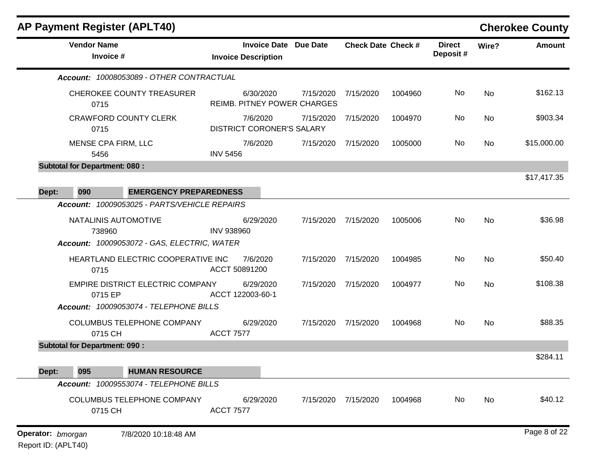| <b>AP Payment Register (APLT40)</b>                                                   |                                                            |           |                           |         |                           |       | <b>Cherokee County</b> |
|---------------------------------------------------------------------------------------|------------------------------------------------------------|-----------|---------------------------|---------|---------------------------|-------|------------------------|
| <b>Vendor Name</b><br>Invoice #                                                       | <b>Invoice Date Due Date</b><br><b>Invoice Description</b> |           | <b>Check Date Check #</b> |         | <b>Direct</b><br>Deposit# | Wire? | <b>Amount</b>          |
| Account: 10008053089 - OTHER CONTRACTUAL                                              |                                                            |           |                           |         |                           |       |                        |
| <b>CHEROKEE COUNTY TREASURER</b><br>0715                                              | 6/30/2020<br>REIMB. PITNEY POWER CHARGES                   | 7/15/2020 | 7/15/2020                 | 1004960 | No                        | No    | \$162.13               |
| <b>CRAWFORD COUNTY CLERK</b><br>0715                                                  | 7/6/2020<br><b>DISTRICT CORONER'S SALARY</b>               | 7/15/2020 | 7/15/2020                 | 1004970 | No                        | No    | \$903.34               |
| MENSE CPA FIRM, LLC<br>5456                                                           | 7/6/2020<br><b>INV 5456</b>                                | 7/15/2020 | 7/15/2020                 | 1005000 | No                        | No    | \$15,000.00            |
| <b>Subtotal for Department: 080:</b>                                                  |                                                            |           |                           |         |                           |       |                        |
| 090<br><b>EMERGENCY PREPAREDNESS</b><br>Dept:                                         |                                                            |           |                           |         |                           |       | \$17,417.35            |
| Account: 10009053025 - PARTS/VEHICLE REPAIRS                                          |                                                            |           |                           |         |                           |       |                        |
| NATALINIS AUTOMOTIVE<br>738960                                                        | 6/29/2020<br><b>INV 938960</b>                             | 7/15/2020 | 7/15/2020                 | 1005006 | No                        | No    | \$36.98                |
| Account: 10009053072 - GAS, ELECTRIC, WATER                                           |                                                            |           |                           |         |                           |       |                        |
| HEARTLAND ELECTRIC COOPERATIVE INC<br>0715                                            | 7/6/2020<br>ACCT 50891200                                  | 7/15/2020 | 7/15/2020                 | 1004985 | No                        | No    | \$50.40                |
| EMPIRE DISTRICT ELECTRIC COMPANY<br>0715 EP<br>Account: 10009053074 - TELEPHONE BILLS | 6/29/2020<br>ACCT 122003-60-1                              | 7/15/2020 | 7/15/2020                 | 1004977 | No                        | No    | \$108.38               |
| COLUMBUS TELEPHONE COMPANY<br>0715 CH                                                 | 6/29/2020<br><b>ACCT 7577</b>                              | 7/15/2020 | 7/15/2020                 | 1004968 | No                        | No    | \$88.35                |
| <b>Subtotal for Department: 090:</b>                                                  |                                                            |           |                           |         |                           |       |                        |
|                                                                                       |                                                            |           |                           |         |                           |       | \$284.11               |
| <b>HUMAN RESOURCE</b><br>095<br>Dept:<br>Account: 10009553074 - TELEPHONE BILLS       |                                                            |           |                           |         |                           |       |                        |
| COLUMBUS TELEPHONE COMPANY<br>0715 CH                                                 | 6/29/2020<br><b>ACCT 7577</b>                              | 7/15/2020 | 7/15/2020                 | 1004968 | No                        | No    | \$40.12                |
| Operator: bmorgan<br>7/8/2020 10:18:48 AM                                             |                                                            |           |                           |         |                           |       | Page 8 of 22           |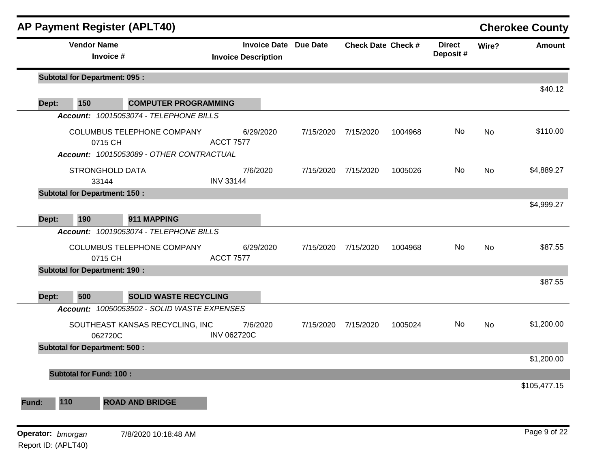|                                          |                                      | <b>AP Payment Register (APLT40)</b>                                         |                    |                                                   |                 |                           |         |                           |           | <b>Cherokee County</b> |
|------------------------------------------|--------------------------------------|-----------------------------------------------------------------------------|--------------------|---------------------------------------------------|-----------------|---------------------------|---------|---------------------------|-----------|------------------------|
|                                          | <b>Vendor Name</b><br>Invoice #      |                                                                             |                    | <b>Invoice Date</b><br><b>Invoice Description</b> | <b>Due Date</b> | <b>Check Date Check #</b> |         | <b>Direct</b><br>Deposit# | Wire?     | <b>Amount</b>          |
|                                          | <b>Subtotal for Department: 095:</b> |                                                                             |                    |                                                   |                 |                           |         |                           |           |                        |
| Dept:                                    | 150                                  | <b>COMPUTER PROGRAMMING</b>                                                 |                    |                                                   |                 |                           |         |                           |           | \$40.12                |
|                                          |                                      | Account: 10015053074 - TELEPHONE BILLS                                      |                    |                                                   |                 |                           |         |                           |           |                        |
|                                          | 0715 CH                              | COLUMBUS TELEPHONE COMPANY                                                  | <b>ACCT 7577</b>   | 6/29/2020                                         | 7/15/2020       | 7/15/2020                 | 1004968 | No                        | No        | \$110.00               |
|                                          |                                      | Account: 10015053089 - OTHER CONTRACTUAL                                    |                    |                                                   |                 |                           |         |                           |           |                        |
|                                          | <b>STRONGHOLD DATA</b><br>33144      |                                                                             | <b>INV 33144</b>   | 7/6/2020                                          | 7/15/2020       | 7/15/2020                 | 1005026 | No                        | <b>No</b> | \$4,889.27             |
|                                          | <b>Subtotal for Department: 150:</b> |                                                                             |                    |                                                   |                 |                           |         |                           |           |                        |
|                                          |                                      |                                                                             |                    |                                                   |                 |                           |         |                           |           | \$4,999.27             |
| Dept:                                    | 190                                  | 911 MAPPING                                                                 |                    |                                                   |                 |                           |         |                           |           |                        |
|                                          |                                      | Account: 10019053074 - TELEPHONE BILLS                                      |                    |                                                   |                 |                           |         |                           |           |                        |
|                                          | 0715 CH                              | COLUMBUS TELEPHONE COMPANY                                                  | <b>ACCT 7577</b>   | 6/29/2020                                         | 7/15/2020       | 7/15/2020                 | 1004968 | No                        | <b>No</b> | \$87.55                |
|                                          | <b>Subtotal for Department: 190:</b> |                                                                             |                    |                                                   |                 |                           |         |                           |           |                        |
|                                          |                                      |                                                                             |                    |                                                   |                 |                           |         |                           |           | \$87.55                |
| Dept:                                    | 500                                  | <b>SOLID WASTE RECYCLING</b><br>Account: 10050053502 - SOLID WASTE EXPENSES |                    |                                                   |                 |                           |         |                           |           |                        |
|                                          | 062720C                              | SOUTHEAST KANSAS RECYCLING, INC                                             | <b>INV 062720C</b> | 7/6/2020                                          | 7/15/2020       | 7/15/2020                 | 1005024 | No                        | <b>No</b> | \$1,200.00             |
|                                          | <b>Subtotal for Department: 500:</b> |                                                                             |                    |                                                   |                 |                           |         |                           |           |                        |
|                                          |                                      |                                                                             |                    |                                                   |                 |                           |         |                           |           | \$1,200.00             |
|                                          | <b>Subtotal for Fund: 100:</b>       |                                                                             |                    |                                                   |                 |                           |         |                           |           |                        |
| 110<br>Fund:                             |                                      | <b>ROAD AND BRIDGE</b>                                                      |                    |                                                   |                 |                           |         |                           |           | \$105,477.15           |
| Operator: bmorgan<br>Report ID: (APLT40) |                                      | 7/8/2020 10:18:48 AM                                                        |                    |                                                   |                 |                           |         |                           |           | Page 9 of 22           |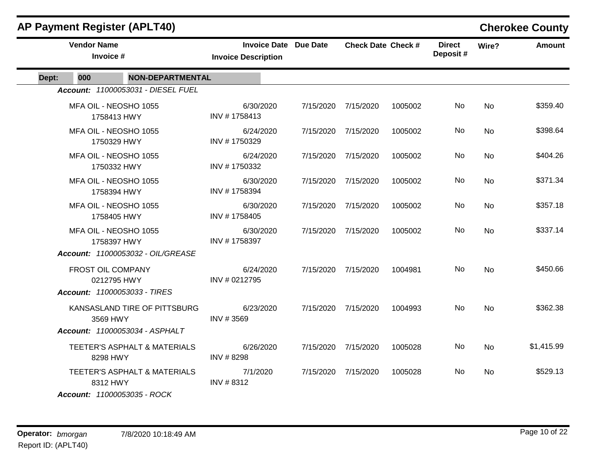|       |                                 | <b>AP Payment Register (APLT40)</b>                                       |                                                            |           |                           |         |                           |           | <b>Cherokee County</b> |
|-------|---------------------------------|---------------------------------------------------------------------------|------------------------------------------------------------|-----------|---------------------------|---------|---------------------------|-----------|------------------------|
|       | <b>Vendor Name</b><br>Invoice # |                                                                           | <b>Invoice Date Due Date</b><br><b>Invoice Description</b> |           | <b>Check Date Check #</b> |         | <b>Direct</b><br>Deposit# | Wire?     | Amount                 |
| Dept: | 000                             | <b>NON-DEPARTMENTAL</b>                                                   |                                                            |           |                           |         |                           |           |                        |
|       |                                 | Account: 11000053031 - DIESEL FUEL                                        |                                                            |           |                           |         |                           |           |                        |
|       |                                 | MFA OIL - NEOSHO 1055<br>1758413 HWY                                      | 6/30/2020<br>INV #1758413                                  | 7/15/2020 | 7/15/2020                 | 1005002 | No                        | No        | \$359.40               |
|       |                                 | MFA OIL - NEOSHO 1055<br>1750329 HWY                                      | 6/24/2020<br>INV #1750329                                  |           | 7/15/2020 7/15/2020       | 1005002 | No                        | <b>No</b> | \$398.64               |
|       |                                 | MFA OIL - NEOSHO 1055<br>1750332 HWY                                      | 6/24/2020<br>INV #1750332                                  | 7/15/2020 | 7/15/2020                 | 1005002 | No                        | <b>No</b> | \$404.26               |
|       |                                 | MFA OIL - NEOSHO 1055<br>1758394 HWY                                      | 6/30/2020<br>INV #1758394                                  |           | 7/15/2020 7/15/2020       | 1005002 | No                        | No.       | \$371.34               |
|       |                                 | MFA OIL - NEOSHO 1055<br>1758405 HWY                                      | 6/30/2020<br>INV #1758405                                  |           | 7/15/2020 7/15/2020       | 1005002 | No                        | No        | \$357.18               |
|       |                                 | MFA OIL - NEOSHO 1055<br>1758397 HWY<br>Account: 11000053032 - OIL/GREASE | 6/30/2020<br>INV #1758397                                  |           | 7/15/2020 7/15/2020       | 1005002 | No                        | No.       | \$337.14               |
|       | FROST OIL COMPANY               | 0212795 HWY<br>Account: 11000053033 - TIRES                               | 6/24/2020<br>INV # 0212795                                 |           | 7/15/2020 7/15/2020       | 1004981 | No                        | <b>No</b> | \$450.66               |
|       | 3569 HWY                        | KANSASLAND TIRE OF PITTSBURG<br>Account: 11000053034 - ASPHALT            | 6/23/2020<br>INV #3569                                     | 7/15/2020 | 7/15/2020                 | 1004993 | No                        | <b>No</b> | \$362.38               |
|       | 8298 HWY                        | TEETER'S ASPHALT & MATERIALS                                              | 6/26/2020<br>INV #8298                                     | 7/15/2020 | 7/15/2020                 | 1005028 | No                        | No        | \$1,415.99             |
|       | 8312 HWY                        | TEETER'S ASPHALT & MATERIALS<br>Account: 11000053035 - ROCK               | 7/1/2020<br>INV #8312                                      |           | 7/15/2020 7/15/2020       | 1005028 | No                        | No        | \$529.13               |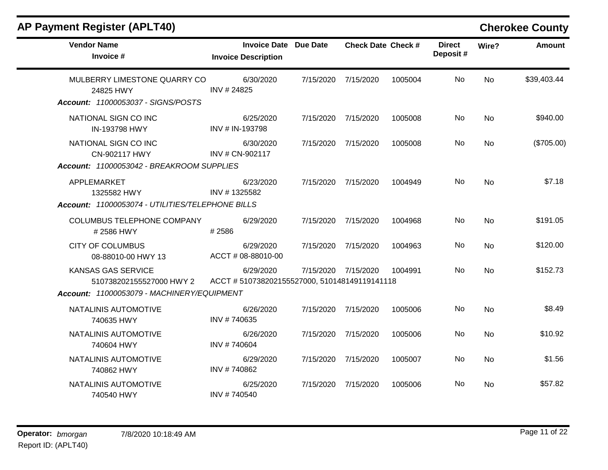| <b>Vendor Name</b><br>Invoice #                       | <b>Invoice Date Due Date</b><br><b>Invoice Description</b> |           | <b>Check Date Check #</b> |         | <b>Direct</b><br>Deposit# | Wire?     | <b>Amount</b> |
|-------------------------------------------------------|------------------------------------------------------------|-----------|---------------------------|---------|---------------------------|-----------|---------------|
| MULBERRY LIMESTONE QUARRY CO<br>24825 HWY             | 6/30/2020<br>INV #24825                                    | 7/15/2020 | 7/15/2020                 | 1005004 | No                        | <b>No</b> | \$39,403.44   |
| Account: 11000053037 - SIGNS/POSTS                    |                                                            |           |                           |         |                           |           |               |
| NATIONAL SIGN CO INC<br>IN-193798 HWY                 | 6/25/2020<br>INV # IN-193798                               | 7/15/2020 | 7/15/2020                 | 1005008 | No                        | No        | \$940.00      |
| NATIONAL SIGN CO INC<br>CN-902117 HWY                 | 6/30/2020<br>INV # CN-902117                               | 7/15/2020 | 7/15/2020                 | 1005008 | No.                       | No        | $(\$705.00)$  |
| Account: 11000053042 - BREAKROOM SUPPLIES             |                                                            |           |                           |         |                           |           |               |
| APPLEMARKET<br>1325582 HWY                            | 6/23/2020<br>INV #1325582                                  | 7/15/2020 | 7/15/2020                 | 1004949 | No.                       | <b>No</b> | \$7.18        |
| Account: 11000053074 - UTILITIES/TELEPHONE BILLS      |                                                            |           |                           |         |                           |           |               |
| <b>COLUMBUS TELEPHONE COMPANY</b><br>#2586 HWY        | 6/29/2020<br>#2586                                         | 7/15/2020 | 7/15/2020                 | 1004968 | No                        | <b>No</b> | \$191.05      |
| <b>CITY OF COLUMBUS</b><br>08-88010-00 HWY 13         | 6/29/2020<br>ACCT # 08-88010-00                            | 7/15/2020 | 7/15/2020                 | 1004963 | No                        | <b>No</b> | \$120.00      |
| <b>KANSAS GAS SERVICE</b><br>510738202155527000 HWY 2 | 6/29/2020<br>ACCT #510738202155527000, 510148149119141118  | 7/15/2020 | 7/15/2020                 | 1004991 | No                        | <b>No</b> | \$152.73      |
| Account: 11000053079 - MACHINERY/EQUIPMENT            |                                                            |           |                           |         |                           |           |               |
| NATALINIS AUTOMOTIVE<br>740635 HWY                    | 6/26/2020<br>INV #740635                                   | 7/15/2020 | 7/15/2020                 | 1005006 | No                        | <b>No</b> | \$8.49        |
| NATALINIS AUTOMOTIVE<br>740604 HWY                    | 6/26/2020<br>INV #740604                                   | 7/15/2020 | 7/15/2020                 | 1005006 | No.                       | No        | \$10.92       |
| NATALINIS AUTOMOTIVE<br>740862 HWY                    | 6/29/2020<br>INV #740862                                   | 7/15/2020 | 7/15/2020                 | 1005007 | No.                       | No        | \$1.56        |
| NATALINIS AUTOMOTIVE<br>740540 HWY                    | 6/25/2020<br>INV #740540                                   | 7/15/2020 | 7/15/2020                 | 1005006 | No.                       | No        | \$57.82       |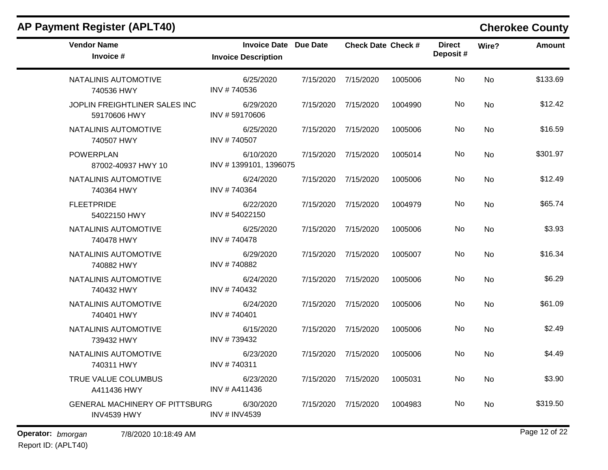| <b>Vendor Name</b><br>Invoice #                      | <b>Invoice Date Due Date</b><br><b>Invoice Description</b> |                     | <b>Check Date Check #</b> |         | <b>Direct</b><br>Deposit# | Wire?     | <b>Amount</b> |
|------------------------------------------------------|------------------------------------------------------------|---------------------|---------------------------|---------|---------------------------|-----------|---------------|
| NATALINIS AUTOMOTIVE<br>740536 HWY                   | 6/25/2020<br>INV #740536                                   | 7/15/2020           | 7/15/2020                 | 1005006 | No                        | <b>No</b> | \$133.69      |
| JOPLIN FREIGHTLINER SALES INC<br>59170606 HWY        | 6/29/2020<br>INV #59170606                                 | 7/15/2020           | 7/15/2020                 | 1004990 | <b>No</b>                 | <b>No</b> | \$12.42       |
| NATALINIS AUTOMOTIVE<br>740507 HWY                   | 6/25/2020<br>INV #740507                                   | 7/15/2020 7/15/2020 |                           | 1005006 | No.                       | No        | \$16.59       |
| <b>POWERPLAN</b><br>87002-40937 HWY 10               | 6/10/2020<br>INV #1399101, 1396075                         | 7/15/2020           | 7/15/2020                 | 1005014 | <b>No</b>                 | <b>No</b> | \$301.97      |
| NATALINIS AUTOMOTIVE<br>740364 HWY                   | 6/24/2020<br>INV #740364                                   | 7/15/2020 7/15/2020 |                           | 1005006 | No.                       | No        | \$12.49       |
| <b>FLEETPRIDE</b><br>54022150 HWY                    | 6/22/2020<br>INV #54022150                                 | 7/15/2020           | 7/15/2020                 | 1004979 | No                        | No        | \$65.74       |
| NATALINIS AUTOMOTIVE<br>740478 HWY                   | 6/25/2020<br>INV #740478                                   | 7/15/2020           | 7/15/2020                 | 1005006 | No                        | No        | \$3.93        |
| NATALINIS AUTOMOTIVE<br>740882 HWY                   | 6/29/2020<br>INV #740882                                   | 7/15/2020           | 7/15/2020                 | 1005007 | No                        | <b>No</b> | \$16.34       |
| NATALINIS AUTOMOTIVE<br>740432 HWY                   | 6/24/2020<br>INV #740432                                   | 7/15/2020           | 7/15/2020                 | 1005006 | No                        | <b>No</b> | \$6.29        |
| NATALINIS AUTOMOTIVE<br>740401 HWY                   | 6/24/2020<br>INV #740401                                   | 7/15/2020           | 7/15/2020                 | 1005006 | No.                       | <b>No</b> | \$61.09       |
| NATALINIS AUTOMOTIVE<br>739432 HWY                   | 6/15/2020<br>INV #739432                                   | 7/15/2020           | 7/15/2020                 | 1005006 | No                        | <b>No</b> | \$2.49        |
| NATALINIS AUTOMOTIVE<br>740311 HWY                   | 6/23/2020<br>INV #740311                                   | 7/15/2020           | 7/15/2020                 | 1005006 | No.                       | No        | \$4.49        |
| TRUE VALUE COLUMBUS<br>A411436 HWY                   | 6/23/2020<br>INV # A411436                                 | 7/15/2020 7/15/2020 |                           | 1005031 | No                        | No        | \$3.90        |
| <b>GENERAL MACHINERY OF PITTSBURG</b><br>INV4539 HWY | 6/30/2020<br><b>INV # INV4539</b>                          | 7/15/2020           | 7/15/2020                 | 1004983 | No                        | <b>No</b> | \$319.50      |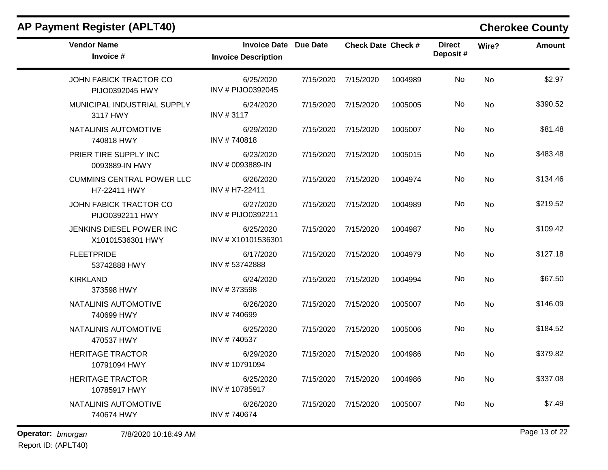m.

| <b>Vendor Name</b><br>Invoice #                  | <b>Invoice Date Due Date</b><br><b>Invoice Description</b> |           | <b>Check Date Check #</b> |         | <b>Direct</b><br>Deposit# | Wire?     | <b>Amount</b> |
|--------------------------------------------------|------------------------------------------------------------|-----------|---------------------------|---------|---------------------------|-----------|---------------|
| JOHN FABICK TRACTOR CO<br>PIJO0392045 HWY        | 6/25/2020<br>INV # PIJO0392045                             | 7/15/2020 | 7/15/2020                 | 1004989 | No                        | <b>No</b> | \$2.97        |
| MUNICIPAL INDUSTRIAL SUPPLY<br>3117 HWY          | 6/24/2020<br>INV #3117                                     | 7/15/2020 | 7/15/2020                 | 1005005 | No                        | No        | \$390.52      |
| NATALINIS AUTOMOTIVE<br>740818 HWY               | 6/29/2020<br>INV #740818                                   | 7/15/2020 | 7/15/2020                 | 1005007 | No.                       | No        | \$81.48       |
| PRIER TIRE SUPPLY INC<br>0093889-IN HWY          | 6/23/2020<br>INV # 0093889-IN                              | 7/15/2020 | 7/15/2020                 | 1005015 | No                        | <b>No</b> | \$483.48      |
| <b>CUMMINS CENTRAL POWER LLC</b><br>H7-22411 HWY | 6/26/2020<br>INV # H7-22411                                | 7/15/2020 | 7/15/2020                 | 1004974 | No                        | <b>No</b> | \$134.46      |
| JOHN FABICK TRACTOR CO<br>PIJO0392211 HWY        | 6/27/2020<br>INV # PIJO0392211                             | 7/15/2020 | 7/15/2020                 | 1004989 | No                        | <b>No</b> | \$219.52      |
| JENKINS DIESEL POWER INC<br>X10101536301 HWY     | 6/25/2020<br>INV # X10101536301                            | 7/15/2020 | 7/15/2020                 | 1004987 | No.                       | <b>No</b> | \$109.42      |
| <b>FLEETPRIDE</b><br>53742888 HWY                | 6/17/2020<br>INV #53742888                                 | 7/15/2020 | 7/15/2020                 | 1004979 | No                        | <b>No</b> | \$127.18      |
| <b>KIRKLAND</b><br>373598 HWY                    | 6/24/2020<br>INV #373598                                   | 7/15/2020 | 7/15/2020                 | 1004994 | No                        | <b>No</b> | \$67.50       |
| NATALINIS AUTOMOTIVE<br>740699 HWY               | 6/26/2020<br>INV #740699                                   | 7/15/2020 | 7/15/2020                 | 1005007 | No                        | No        | \$146.09      |
| NATALINIS AUTOMOTIVE<br>470537 HWY               | 6/25/2020<br>INV #740537                                   | 7/15/2020 | 7/15/2020                 | 1005006 | <b>No</b>                 | No        | \$184.52      |
| <b>HERITAGE TRACTOR</b><br>10791094 HWY          | 6/29/2020<br>INV #10791094                                 | 7/15/2020 | 7/15/2020                 | 1004986 | No                        | No        | \$379.82      |
| <b>HERITAGE TRACTOR</b><br>10785917 HWY          | 6/25/2020<br>INV #10785917                                 | 7/15/2020 | 7/15/2020                 | 1004986 | <b>No</b>                 | <b>No</b> | \$337.08      |
| NATALINIS AUTOMOTIVE<br>740674 HWY               | 6/26/2020<br>INV #740674                                   | 7/15/2020 | 7/15/2020                 | 1005007 | No.                       | No        | \$7.49        |

**Operator:** bmorgan 7/8/2020 10:18:49 AM **b** 22 Report ID: (APLT40)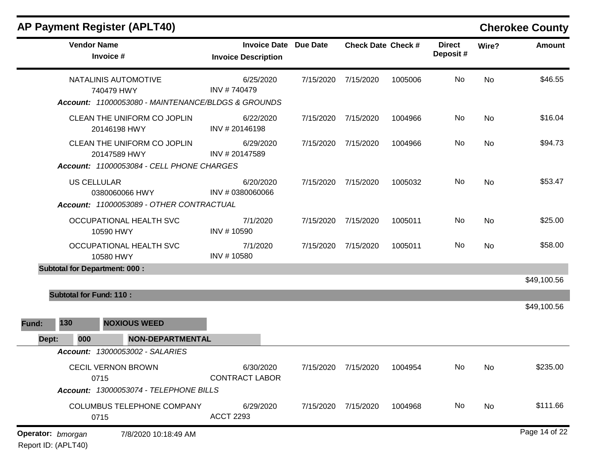|     |                     |                                                                                                                                                                                                                                                                                                                                                                                                                                                                                                                                   |                                                                                                                                                                                                                  |                     |                                            |                           |           | <b>Cherokee County</b> |
|-----|---------------------|-----------------------------------------------------------------------------------------------------------------------------------------------------------------------------------------------------------------------------------------------------------------------------------------------------------------------------------------------------------------------------------------------------------------------------------------------------------------------------------------------------------------------------------|------------------------------------------------------------------------------------------------------------------------------------------------------------------------------------------------------------------|---------------------|--------------------------------------------|---------------------------|-----------|------------------------|
|     |                     | <b>Invoice Description</b>                                                                                                                                                                                                                                                                                                                                                                                                                                                                                                        | <b>Due Date</b>                                                                                                                                                                                                  |                     |                                            | <b>Direct</b><br>Deposit# | Wire?     | <b>Amount</b>          |
|     |                     | 6/25/2020<br>INV #740479                                                                                                                                                                                                                                                                                                                                                                                                                                                                                                          | 7/15/2020                                                                                                                                                                                                        | 7/15/2020           | 1005006                                    | No                        | <b>No</b> | \$46.55                |
|     |                     |                                                                                                                                                                                                                                                                                                                                                                                                                                                                                                                                   |                                                                                                                                                                                                                  |                     |                                            |                           |           |                        |
|     |                     | 6/22/2020<br>INV #20146198                                                                                                                                                                                                                                                                                                                                                                                                                                                                                                        | 7/15/2020                                                                                                                                                                                                        | 7/15/2020           | 1004966                                    | No                        | <b>No</b> | \$16.04                |
|     |                     | 6/29/2020<br>INV #20147589                                                                                                                                                                                                                                                                                                                                                                                                                                                                                                        | 7/15/2020                                                                                                                                                                                                        | 7/15/2020           | 1004966                                    | No                        | No        | \$94.73                |
|     |                     | 6/20/2020<br>INV #0380060066                                                                                                                                                                                                                                                                                                                                                                                                                                                                                                      | 7/15/2020                                                                                                                                                                                                        | 7/15/2020           | 1005032                                    | No                        | <b>No</b> | \$53.47                |
|     |                     | 7/1/2020<br>INV #10590                                                                                                                                                                                                                                                                                                                                                                                                                                                                                                            | 7/15/2020                                                                                                                                                                                                        | 7/15/2020           | 1005011                                    | No                        | <b>No</b> | \$25.00                |
|     |                     | 7/1/2020<br>INV #10580                                                                                                                                                                                                                                                                                                                                                                                                                                                                                                            | 7/15/2020                                                                                                                                                                                                        | 7/15/2020           | 1005011                                    | No                        | <b>No</b> | \$58.00                |
|     |                     |                                                                                                                                                                                                                                                                                                                                                                                                                                                                                                                                   |                                                                                                                                                                                                                  |                     |                                            |                           |           |                        |
|     |                     |                                                                                                                                                                                                                                                                                                                                                                                                                                                                                                                                   |                                                                                                                                                                                                                  |                     |                                            |                           |           | \$49,100.56            |
|     |                     |                                                                                                                                                                                                                                                                                                                                                                                                                                                                                                                                   |                                                                                                                                                                                                                  |                     |                                            |                           |           |                        |
| 130 | <b>NOXIOUS WEED</b> |                                                                                                                                                                                                                                                                                                                                                                                                                                                                                                                                   |                                                                                                                                                                                                                  |                     |                                            |                           |           | \$49,100.56            |
| 000 |                     |                                                                                                                                                                                                                                                                                                                                                                                                                                                                                                                                   |                                                                                                                                                                                                                  |                     |                                            |                           |           |                        |
|     |                     |                                                                                                                                                                                                                                                                                                                                                                                                                                                                                                                                   |                                                                                                                                                                                                                  |                     |                                            |                           |           |                        |
|     |                     | 6/30/2020<br><b>CONTRACT LABOR</b>                                                                                                                                                                                                                                                                                                                                                                                                                                                                                                |                                                                                                                                                                                                                  |                     | 1004954                                    | No                        | No        | \$235.00               |
|     |                     |                                                                                                                                                                                                                                                                                                                                                                                                                                                                                                                                   |                                                                                                                                                                                                                  |                     |                                            |                           |           |                        |
|     |                     | 6/29/2020<br><b>ACCT 2293</b>                                                                                                                                                                                                                                                                                                                                                                                                                                                                                                     |                                                                                                                                                                                                                  |                     | 1004968                                    | No                        | No        | \$111.66               |
|     |                     | <b>AP Payment Register (APLT40)</b><br><b>Vendor Name</b><br>Invoice #<br>NATALINIS AUTOMOTIVE<br>740479 HWY<br>CLEAN THE UNIFORM CO JOPLIN<br>20146198 HWY<br>CLEAN THE UNIFORM CO JOPLIN<br>20147589 HWY<br><b>US CELLULAR</b><br>0380060066 HWY<br>OCCUPATIONAL HEALTH SVC<br>10590 HWY<br>OCCUPATIONAL HEALTH SVC<br>10580 HWY<br><b>Subtotal for Department: 000:</b><br><b>Subtotal for Fund: 110:</b><br>Account: 13000053002 - SALARIES<br><b>CECIL VERNON BROWN</b><br>0715<br><b>COLUMBUS TELEPHONE COMPANY</b><br>0715 | Account: 11000053080 - MAINTENANCE/BLDGS & GROUNDS<br>Account: 11000053084 - CELL PHONE CHARGES<br>Account: 11000053089 - OTHER CONTRACTUAL<br><b>NON-DEPARTMENTAL</b><br>Account: 13000053074 - TELEPHONE BILLS | <b>Invoice Date</b> | 7/15/2020 7/15/2020<br>7/15/2020 7/15/2020 | <b>Check Date Check #</b> |           |                        |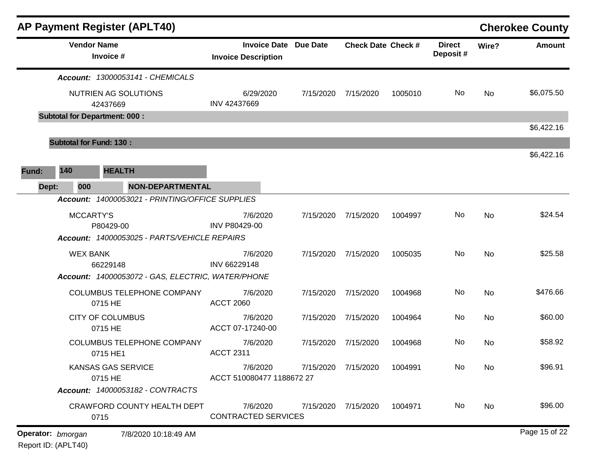|                   |                                      | <b>AP Payment Register (APLT40)</b>               |                                                            |           |                           |         |                           |           | <b>Cherokee County</b> |
|-------------------|--------------------------------------|---------------------------------------------------|------------------------------------------------------------|-----------|---------------------------|---------|---------------------------|-----------|------------------------|
|                   | <b>Vendor Name</b>                   | Invoice #                                         | <b>Invoice Date Due Date</b><br><b>Invoice Description</b> |           | <b>Check Date Check #</b> |         | <b>Direct</b><br>Deposit# | Wire?     | <b>Amount</b>          |
|                   |                                      | Account: 13000053141 - CHEMICALS                  |                                                            |           |                           |         |                           |           |                        |
|                   |                                      | NUTRIEN AG SOLUTIONS<br>42437669                  | 6/29/2020<br>INV 42437669                                  | 7/15/2020 | 7/15/2020                 | 1005010 | No.                       | No        | \$6,075.50             |
|                   | <b>Subtotal for Department: 000:</b> |                                                   |                                                            |           |                           |         |                           |           |                        |
|                   |                                      |                                                   |                                                            |           |                           |         |                           |           | \$6,422.16             |
|                   | <b>Subtotal for Fund: 130:</b>       |                                                   |                                                            |           |                           |         |                           |           | \$6,422.16             |
| Fund:             | 140                                  | <b>HEALTH</b>                                     |                                                            |           |                           |         |                           |           |                        |
| Dept:             | 000                                  | <b>NON-DEPARTMENTAL</b>                           |                                                            |           |                           |         |                           |           |                        |
|                   |                                      | Account: 14000053021 - PRINTING/OFFICE SUPPLIES   |                                                            |           |                           |         |                           |           |                        |
|                   | MCCARTY'S                            | P80429-00                                         | 7/6/2020<br>INV P80429-00                                  | 7/15/2020 | 7/15/2020                 | 1004997 | No                        | No        | \$24.54                |
|                   |                                      | Account: 14000053025 - PARTS/VEHICLE REPAIRS      |                                                            |           |                           |         |                           |           |                        |
|                   | <b>WEX BANK</b>                      | 66229148                                          | 7/6/2020<br>INV 66229148                                   | 7/15/2020 | 7/15/2020                 | 1005035 | No                        | No        | \$25.58                |
|                   |                                      | Account: 14000053072 - GAS, ELECTRIC, WATER/PHONE |                                                            |           |                           |         |                           |           |                        |
|                   | 0715 HE                              | <b>COLUMBUS TELEPHONE COMPANY</b>                 | 7/6/2020<br><b>ACCT 2060</b>                               | 7/15/2020 | 7/15/2020                 | 1004968 | No                        | No        | \$476.66               |
|                   | <b>CITY OF COLUMBUS</b><br>0715 HE   |                                                   | 7/6/2020<br>ACCT 07-17240-00                               | 7/15/2020 | 7/15/2020                 | 1004964 | No                        | No        | \$60.00                |
|                   |                                      | <b>COLUMBUS TELEPHONE COMPANY</b><br>0715 HE1     | 7/6/2020<br><b>ACCT 2311</b>                               | 7/15/2020 | 7/15/2020                 | 1004968 | No                        | No        | \$58.92                |
|                   | 0715 HE                              | KANSAS GAS SERVICE                                | 7/6/2020<br>ACCT 510080477 1188672 27                      | 7/15/2020 | 7/15/2020                 | 1004991 | No.                       | <b>No</b> | \$96.91                |
|                   |                                      | Account: 14000053182 - CONTRACTS                  |                                                            |           |                           |         |                           |           |                        |
|                   | 0715                                 | CRAWFORD COUNTY HEALTH DEPT                       | 7/6/2020<br><b>CONTRACTED SERVICES</b>                     | 7/15/2020 | 7/15/2020                 | 1004971 | No.                       | No        | \$96.00                |
| Operator: bmorgan |                                      | 7/8/2020 10:18:49 AM                              |                                                            |           |                           |         |                           |           | Page 15 of 22          |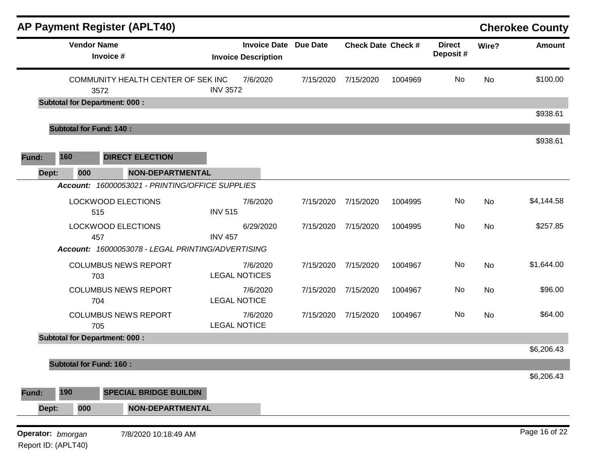|                                          |                    | <b>AP Payment Register (APLT40)</b>               |                                                            |           |                           |         |                           |       | <b>Cherokee County</b> |
|------------------------------------------|--------------------|---------------------------------------------------|------------------------------------------------------------|-----------|---------------------------|---------|---------------------------|-------|------------------------|
|                                          | <b>Vendor Name</b> | Invoice #                                         | <b>Invoice Date Due Date</b><br><b>Invoice Description</b> |           | <b>Check Date Check #</b> |         | <b>Direct</b><br>Deposit# | Wire? | <b>Amount</b>          |
|                                          |                    | COMMUNITY HEALTH CENTER OF SEK INC<br>3572        | 7/6/2020<br><b>INV 3572</b>                                | 7/15/2020 | 7/15/2020                 | 1004969 | No                        | No    | \$100.00               |
|                                          |                    | <b>Subtotal for Department: 000:</b>              |                                                            |           |                           |         |                           |       | \$938.61               |
|                                          |                    | <b>Subtotal for Fund: 140:</b>                    |                                                            |           |                           |         |                           |       |                        |
| Fund:                                    | 160                | <b>DIRECT ELECTION</b>                            |                                                            |           |                           |         |                           |       | \$938.61               |
| Dept:                                    | 000                | <b>NON-DEPARTMENTAL</b>                           |                                                            |           |                           |         |                           |       |                        |
|                                          |                    | Account: 16000053021 - PRINTING/OFFICE SUPPLIES   |                                                            |           |                           |         |                           |       |                        |
|                                          |                    | LOCKWOOD ELECTIONS<br>515                         | 7/6/2020<br><b>INV 515</b>                                 | 7/15/2020 | 7/15/2020                 | 1004995 | No                        | No    | \$4,144.58             |
|                                          |                    | <b>LOCKWOOD ELECTIONS</b><br>457                  | 6/29/2020<br><b>INV 457</b>                                | 7/15/2020 | 7/15/2020                 | 1004995 | No                        | No    | \$257.85               |
|                                          |                    | Account: 16000053078 - LEGAL PRINTING/ADVERTISING |                                                            |           |                           |         |                           |       |                        |
|                                          |                    | <b>COLUMBUS NEWS REPORT</b><br>703                | 7/6/2020<br><b>LEGAL NOTICES</b>                           | 7/15/2020 | 7/15/2020                 | 1004967 | No                        | No    | \$1,644.00             |
|                                          |                    | <b>COLUMBUS NEWS REPORT</b><br>704                | 7/6/2020<br><b>LEGAL NOTICE</b>                            | 7/15/2020 | 7/15/2020                 | 1004967 | No                        | No    | \$96.00                |
|                                          |                    | <b>COLUMBUS NEWS REPORT</b><br>705                | 7/6/2020<br><b>LEGAL NOTICE</b>                            | 7/15/2020 | 7/15/2020                 | 1004967 | No                        | No    | \$64.00                |
|                                          |                    | <b>Subtotal for Department: 000:</b>              |                                                            |           |                           |         |                           |       | \$6,206.43             |
|                                          |                    | <b>Subtotal for Fund: 160:</b>                    |                                                            |           |                           |         |                           |       |                        |
| Fund:                                    | 190                | <b>SPECIAL BRIDGE BUILDIN</b>                     |                                                            |           |                           |         |                           |       | \$6,206.43             |
| Dept:                                    | 000                | <b>NON-DEPARTMENTAL</b>                           |                                                            |           |                           |         |                           |       |                        |
|                                          |                    |                                                   |                                                            |           |                           |         |                           |       |                        |
| Operator: bmorgan<br>Report ID: (APLT40) |                    | 7/8/2020 10:18:49 AM                              |                                                            |           |                           |         |                           |       | Page 16 of 22          |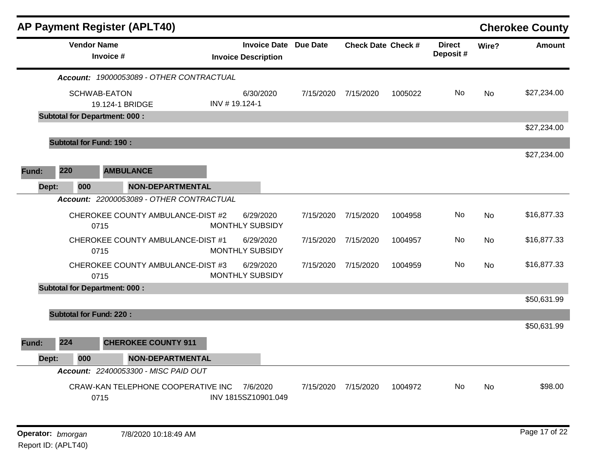|       |                                | <b>AP Payment Register (APLT40)</b>        |               |                                                            |           |                           |         |                           |           | <b>Cherokee County</b> |
|-------|--------------------------------|--------------------------------------------|---------------|------------------------------------------------------------|-----------|---------------------------|---------|---------------------------|-----------|------------------------|
|       | <b>Vendor Name</b>             | Invoice #                                  |               | <b>Invoice Date Due Date</b><br><b>Invoice Description</b> |           | <b>Check Date Check #</b> |         | <b>Direct</b><br>Deposit# | Wire?     | <b>Amount</b>          |
|       |                                | Account: 19000053089 - OTHER CONTRACTUAL   |               |                                                            |           |                           |         |                           |           |                        |
|       |                                | SCHWAB-EATON<br>19.124-1 BRIDGE            | INV #19.124-1 | 6/30/2020                                                  | 7/15/2020 | 7/15/2020                 | 1005022 | No.                       | No        | \$27,234.00            |
|       |                                | <b>Subtotal for Department: 000:</b>       |               |                                                            |           |                           |         |                           |           |                        |
|       |                                |                                            |               |                                                            |           |                           |         |                           |           | \$27,234.00            |
|       | <b>Subtotal for Fund: 190:</b> |                                            |               |                                                            |           |                           |         |                           |           |                        |
|       |                                |                                            |               |                                                            |           |                           |         |                           |           | \$27,234.00            |
| Fund: | 220                            | <b>AMBULANCE</b>                           |               |                                                            |           |                           |         |                           |           |                        |
| Dept: | 000                            | <b>NON-DEPARTMENTAL</b>                    |               |                                                            |           |                           |         |                           |           |                        |
|       |                                | Account: 22000053089 - OTHER CONTRACTUAL   |               |                                                            |           |                           |         |                           |           |                        |
|       |                                | CHEROKEE COUNTY AMBULANCE-DIST #2<br>0715  |               | 6/29/2020<br><b>MONTHLY SUBSIDY</b>                        | 7/15/2020 | 7/15/2020                 | 1004958 | No.                       | No        | \$16,877.33            |
|       |                                | CHEROKEE COUNTY AMBULANCE-DIST #1<br>0715  |               | 6/29/2020<br>MONTHLY SUBSIDY                               | 7/15/2020 | 7/15/2020                 | 1004957 | No.                       | No        | \$16,877.33            |
|       |                                | CHEROKEE COUNTY AMBULANCE-DIST #3<br>0715  |               | 6/29/2020<br>MONTHLY SUBSIDY                               | 7/15/2020 | 7/15/2020                 | 1004959 | No.                       | <b>No</b> | \$16,877.33            |
|       |                                | <b>Subtotal for Department: 000:</b>       |               |                                                            |           |                           |         |                           |           |                        |
|       |                                |                                            |               |                                                            |           |                           |         |                           |           | \$50,631.99            |
|       | <b>Subtotal for Fund: 220:</b> |                                            |               |                                                            |           |                           |         |                           |           |                        |
|       |                                |                                            |               |                                                            |           |                           |         |                           |           | \$50,631.99            |
| Fund: | 224                            | <b>CHEROKEE COUNTY 911</b>                 |               |                                                            |           |                           |         |                           |           |                        |
| Dept: | 000                            | <b>NON-DEPARTMENTAL</b>                    |               |                                                            |           |                           |         |                           |           |                        |
|       |                                | Account: 22400053300 - MISC PAID OUT       |               |                                                            |           |                           |         |                           |           |                        |
|       |                                | CRAW-KAN TELEPHONE COOPERATIVE INC<br>0715 |               | 7/6/2020<br>INV 1815SZ10901.049                            | 7/15/2020 | 7/15/2020                 | 1004972 | No.                       | No        | \$98.00                |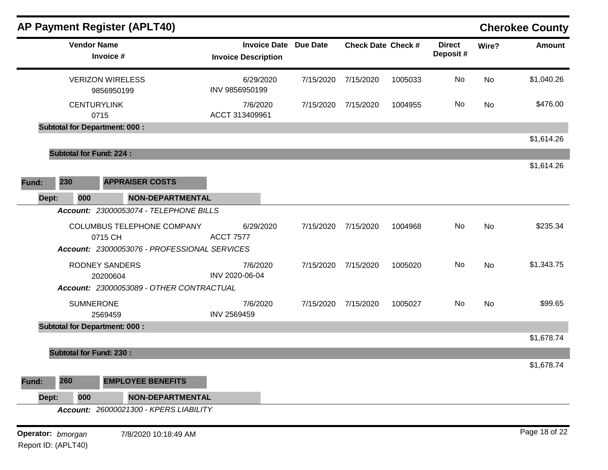|                   |                    | <b>AP Payment Register (APLT40)</b>          |                                                   |                 |                           |         |                           |           | <b>Cherokee County</b> |
|-------------------|--------------------|----------------------------------------------|---------------------------------------------------|-----------------|---------------------------|---------|---------------------------|-----------|------------------------|
|                   | <b>Vendor Name</b> | Invoice #                                    | <b>Invoice Date</b><br><b>Invoice Description</b> | <b>Due Date</b> | <b>Check Date Check #</b> |         | <b>Direct</b><br>Deposit# | Wire?     | <b>Amount</b>          |
|                   |                    | <b>VERIZON WIRELESS</b><br>9856950199        | 6/29/2020<br>INV 9856950199                       | 7/15/2020       | 7/15/2020                 | 1005033 | No                        | No        | \$1,040.26             |
|                   | <b>CENTURYLINK</b> | 0715                                         | 7/6/2020<br>ACCT 313409961                        | 7/15/2020       | 7/15/2020                 | 1004955 | No                        | <b>No</b> | \$476.00               |
|                   |                    | <b>Subtotal for Department: 000:</b>         |                                                   |                 |                           |         |                           |           |                        |
|                   |                    |                                              |                                                   |                 |                           |         |                           |           | \$1,614.26             |
|                   |                    | <b>Subtotal for Fund: 224:</b>               |                                                   |                 |                           |         |                           |           | \$1,614.26             |
| Fund:             | 230                | <b>APPRAISER COSTS</b>                       |                                                   |                 |                           |         |                           |           |                        |
| Dept:             | 000                | NON-DEPARTMENTAL                             |                                                   |                 |                           |         |                           |           |                        |
|                   |                    | Account: 23000053074 - TELEPHONE BILLS       |                                                   |                 |                           |         |                           |           |                        |
|                   |                    | COLUMBUS TELEPHONE COMPANY<br>0715 CH        | 6/29/2020<br><b>ACCT 7577</b>                     | 7/15/2020       | 7/15/2020                 | 1004968 | No                        | <b>No</b> | \$235.34               |
|                   |                    | Account: 23000053076 - PROFESSIONAL SERVICES |                                                   |                 |                           |         |                           |           |                        |
|                   |                    | <b>RODNEY SANDERS</b><br>20200604            | 7/6/2020<br>INV 2020-06-04                        | 7/15/2020       | 7/15/2020                 | 1005020 | No                        | No        | \$1,343.75             |
|                   |                    | Account: 23000053089 - OTHER CONTRACTUAL     |                                                   |                 |                           |         |                           |           |                        |
|                   | <b>SUMNERONE</b>   | 2569459                                      | 7/6/2020<br>INV 2569459                           | 7/15/2020       | 7/15/2020                 | 1005027 | No                        | No        | \$99.65                |
|                   |                    | <b>Subtotal for Department: 000:</b>         |                                                   |                 |                           |         |                           |           |                        |
|                   |                    |                                              |                                                   |                 |                           |         |                           |           | \$1,678.74             |
|                   |                    | <b>Subtotal for Fund: 230:</b>               |                                                   |                 |                           |         |                           |           | \$1,678.74             |
| Fund:             | 260                | <b>EMPLOYEE BENEFITS</b>                     |                                                   |                 |                           |         |                           |           |                        |
| Dept:             | 000                | NON-DEPARTMENTAL                             |                                                   |                 |                           |         |                           |           |                        |
|                   |                    | Account: 26000021300 - KPERS LIABILITY       |                                                   |                 |                           |         |                           |           |                        |
| Operator: bmorgan |                    | 7/8/2020 10:18:49 AM                         |                                                   |                 |                           |         |                           |           | Page 18 of 22          |

Report ID: (APLT40)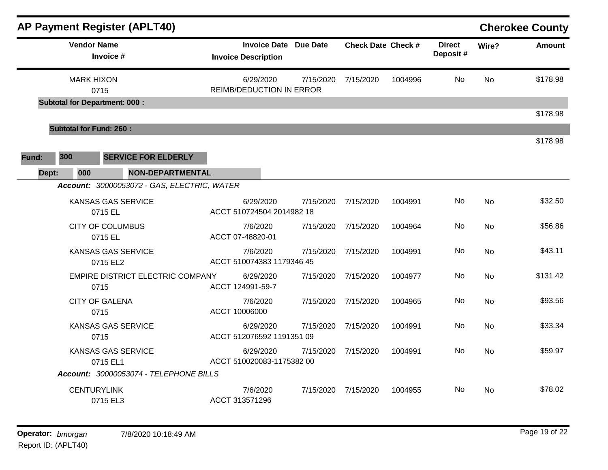| <b>AP Payment Register (APLT40)</b>                                                   |                                                            |           |                           |         |                           |           | <b>Cherokee County</b> |
|---------------------------------------------------------------------------------------|------------------------------------------------------------|-----------|---------------------------|---------|---------------------------|-----------|------------------------|
| <b>Vendor Name</b><br>Invoice #                                                       | <b>Invoice Date Due Date</b><br><b>Invoice Description</b> |           | <b>Check Date Check #</b> |         | <b>Direct</b><br>Deposit# | Wire?     | <b>Amount</b>          |
| <b>MARK HIXON</b><br>0715                                                             | 6/29/2020<br><b>REIMB/DEDUCTION IN ERROR</b>               | 7/15/2020 | 7/15/2020                 | 1004996 | No                        | <b>No</b> | \$178.98               |
| <b>Subtotal for Department: 000:</b>                                                  |                                                            |           |                           |         |                           |           | \$178.98               |
| <b>Subtotal for Fund: 260:</b>                                                        |                                                            |           |                           |         |                           |           |                        |
| 300<br><b>SERVICE FOR ELDERLY</b><br>Fund:<br>000<br><b>NON-DEPARTMENTAL</b><br>Dept: |                                                            |           |                           |         |                           |           | \$178.98               |
| Account: 30000053072 - GAS, ELECTRIC, WATER                                           |                                                            |           |                           |         |                           |           |                        |
| <b>KANSAS GAS SERVICE</b><br>0715 EL                                                  | 6/29/2020<br>ACCT 510724504 2014982 18                     | 7/15/2020 | 7/15/2020                 | 1004991 | No                        | <b>No</b> | \$32.50                |
| <b>CITY OF COLUMBUS</b><br>0715 EL                                                    | 7/6/2020<br>ACCT 07-48820-01                               | 7/15/2020 | 7/15/2020                 | 1004964 | No.                       | <b>No</b> | \$56.86                |
| <b>KANSAS GAS SERVICE</b><br>0715 EL2                                                 | 7/6/2020<br>ACCT 510074383 1179346 45                      | 7/15/2020 | 7/15/2020                 | 1004991 | No                        | No        | \$43.11                |
| EMPIRE DISTRICT ELECTRIC COMPANY<br>0715                                              | 6/29/2020<br>ACCT 124991-59-7                              | 7/15/2020 | 7/15/2020                 | 1004977 | No                        | <b>No</b> | \$131.42               |
| <b>CITY OF GALENA</b><br>0715                                                         | 7/6/2020<br>ACCT 10006000                                  | 7/15/2020 | 7/15/2020                 | 1004965 | No                        | <b>No</b> | \$93.56                |
| <b>KANSAS GAS SERVICE</b><br>0715                                                     | 6/29/2020<br>ACCT 512076592 1191351 09                     | 7/15/2020 | 7/15/2020                 | 1004991 | No                        | No        | \$33.34                |
| <b>KANSAS GAS SERVICE</b><br>0715 EL1                                                 | 6/29/2020<br>ACCT 510020083-1175382 00                     | 7/15/2020 | 7/15/2020                 | 1004991 | No.                       | <b>No</b> | \$59.97                |
| Account: 30000053074 - TELEPHONE BILLS                                                |                                                            |           |                           |         |                           |           |                        |
| <b>CENTURYLINK</b><br>0715 EL3                                                        | 7/6/2020<br>ACCT 313571296                                 | 7/15/2020 | 7/15/2020                 | 1004955 | No                        | No        | \$78.02                |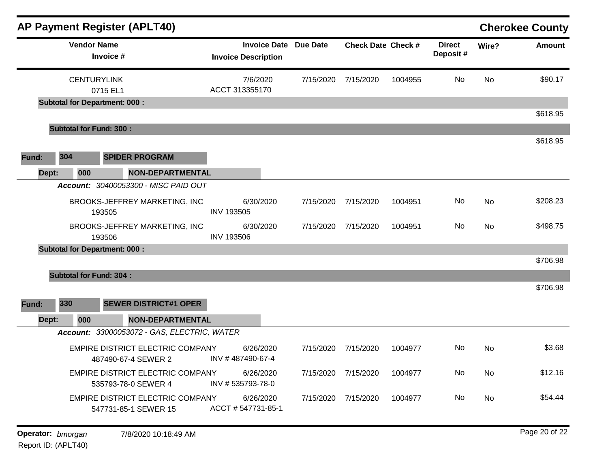| <b>AP Payment Register (APLT40)</b>                      |                   |                                                            |           |                           |         |                           |           | <b>Cherokee County</b> |
|----------------------------------------------------------|-------------------|------------------------------------------------------------|-----------|---------------------------|---------|---------------------------|-----------|------------------------|
| <b>Vendor Name</b><br>Invoice #                          |                   | <b>Invoice Date Due Date</b><br><b>Invoice Description</b> |           | <b>Check Date Check #</b> |         | <b>Direct</b><br>Deposit# | Wire?     | <b>Amount</b>          |
| <b>CENTURYLINK</b><br>0715 EL1                           | ACCT 313355170    | 7/6/2020                                                   | 7/15/2020 | 7/15/2020                 | 1004955 | No                        | <b>No</b> | \$90.17                |
| <b>Subtotal for Department: 000:</b>                     |                   |                                                            |           |                           |         |                           |           | \$618.95               |
| <b>Subtotal for Fund: 300:</b>                           |                   |                                                            |           |                           |         |                           |           |                        |
|                                                          |                   |                                                            |           |                           |         |                           |           | \$618.95               |
| 304<br><b>SPIDER PROGRAM</b><br>Fund:                    |                   |                                                            |           |                           |         |                           |           |                        |
| Dept:<br>000<br><b>NON-DEPARTMENTAL</b>                  |                   |                                                            |           |                           |         |                           |           |                        |
| Account: 30400053300 - MISC PAID OUT                     |                   |                                                            |           |                           |         |                           |           |                        |
| BROOKS-JEFFREY MARKETING, INC<br>193505                  | <b>INV 193505</b> | 6/30/2020                                                  | 7/15/2020 | 7/15/2020                 | 1004951 | No.                       | <b>No</b> | \$208.23               |
| BROOKS-JEFFREY MARKETING, INC<br>193506                  | <b>INV 193506</b> | 6/30/2020                                                  | 7/15/2020 | 7/15/2020                 | 1004951 | No                        | <b>No</b> | \$498.75               |
| <b>Subtotal for Department: 000:</b>                     |                   |                                                            |           |                           |         |                           |           | \$706.98               |
| <b>Subtotal for Fund: 304:</b>                           |                   |                                                            |           |                           |         |                           |           |                        |
|                                                          |                   |                                                            |           |                           |         |                           |           | \$706.98               |
| 330<br><b>SEWER DISTRICT#1 OPER</b><br>Fund:             |                   |                                                            |           |                           |         |                           |           |                        |
| Dept:<br><b>NON-DEPARTMENTAL</b><br>000                  |                   |                                                            |           |                           |         |                           |           |                        |
| Account: 33000053072 - GAS, ELECTRIC, WATER              |                   |                                                            |           |                           |         |                           |           |                        |
| EMPIRE DISTRICT ELECTRIC COMPANY<br>487490-67-4 SEWER 2  | INV #487490-67-4  | 6/26/2020                                                  | 7/15/2020 | 7/15/2020                 | 1004977 | No.                       | No        | \$3.68                 |
| EMPIRE DISTRICT ELECTRIC COMPANY<br>535793-78-0 SEWER 4  | INV #535793-78-0  | 6/26/2020                                                  | 7/15/2020 | 7/15/2020                 | 1004977 | No                        | No        | \$12.16                |
| EMPIRE DISTRICT ELECTRIC COMPANY<br>547731-85-1 SEWER 15 |                   | 6/26/2020<br>ACCT # 547731-85-1                            | 7/15/2020 | 7/15/2020                 | 1004977 | No                        | No        | \$54.44                |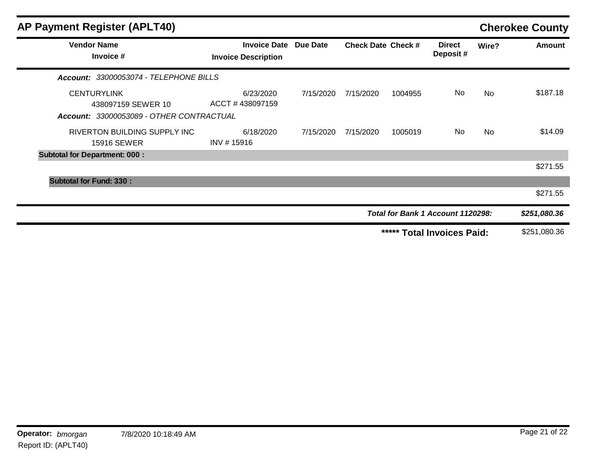| <b>AP Payment Register (APLT40)</b>                                                  |                                                   |                 |                           |         |                                   |           | <b>Cherokee County</b> |
|--------------------------------------------------------------------------------------|---------------------------------------------------|-----------------|---------------------------|---------|-----------------------------------|-----------|------------------------|
| <b>Vendor Name</b><br>Invoice #                                                      | <b>Invoice Date</b><br><b>Invoice Description</b> | <b>Due Date</b> | <b>Check Date Check #</b> |         | <b>Direct</b><br>Deposit#         | Wire?     | <b>Amount</b>          |
| Account: 33000053074 - TELEPHONE BILLS                                               |                                                   |                 |                           |         |                                   |           |                        |
| <b>CENTURYLINK</b><br>438097159 SEWER 10<br>Account: 33000053089 - OTHER CONTRACTUAL | 6/23/2020<br>ACCT #438097159                      | 7/15/2020       | 7/15/2020                 | 1004955 | No.                               | <b>No</b> | \$187.18               |
| RIVERTON BUILDING SUPPLY INC<br><b>15916 SEWER</b>                                   | 6/18/2020<br>INV #15916                           | 7/15/2020       | 7/15/2020                 | 1005019 | No.                               | <b>No</b> | \$14.09                |
| <b>Subtotal for Department: 000:</b>                                                 |                                                   |                 |                           |         |                                   |           |                        |
|                                                                                      |                                                   |                 |                           |         |                                   |           | \$271.55               |
| <b>Subtotal for Fund: 330:</b>                                                       |                                                   |                 |                           |         |                                   |           |                        |
|                                                                                      |                                                   |                 |                           |         |                                   |           | \$271.55               |
|                                                                                      |                                                   |                 |                           |         | Total for Bank 1 Account 1120298: |           | \$251,080.36           |
|                                                                                      |                                                   |                 |                           | *****   | <b>Total Invoices Paid:</b>       |           | \$251,080.36           |